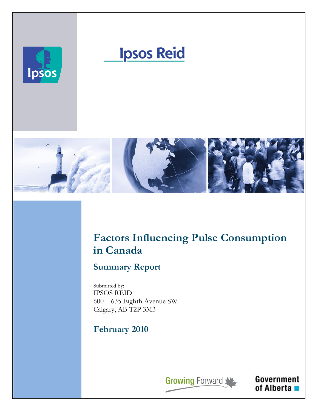

# **Ipsos Reid**



# Factors Influencing Pulse Consumption in Canada

# Summary Report

Submitted by: IPSOS REID 600 – 635 Eighth Avenue SW Calgary, AB T2P 3M3

# February 2010

**Growing Forward** 

Government

of Alberta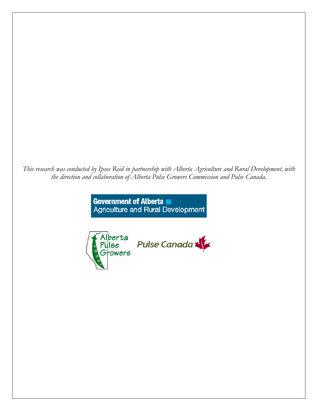This research was conducted by Ipsos Reid in partnership with Alberta Agriculture and Rural Development, with the direction and collaboration of Alberta Pulse Growers Commission and Pulse Canada.

> Government of Alberta Agriculture and Rural Development



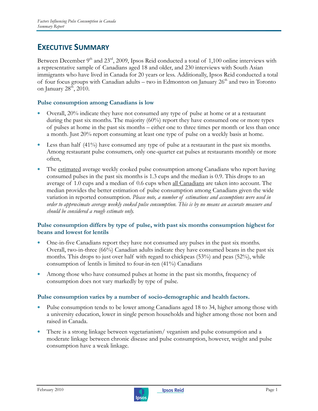# EXECUTIVE SUMMARY

Between December  $9<sup>th</sup>$  and  $23<sup>rd</sup>$ , 2009, Ipsos Reid conducted a total of 1,100 online interviews with a representative sample of Canadians aged 18 and older, and 230 interviews with South Asian immigrants who have lived in Canada for 20 years or less. Additionally, Ipsos Reid conducted a total of four focus groups with Canadian adults – two in Edmonton on January  $26<sup>th</sup>$  and two in Toronto on January 28<sup>th</sup>, 2010.

#### Pulse consumption among Canadians is low

- Overall, 20% indicate they have not consumed any type of pulse at home or at a restaurant during the past six months. The majority  $(60\%)$  report they have consumed one or more types of pulses at home in the past six months – either one to three times per month or less than once a month. Just 20% report consuming at least one type of pulse on a weekly basis at home.
- Less than half  $(41%)$  have consumed any type of pulse at a restaurant in the past six months. Among restaurant pulse consumers, only one-quarter eat pulses at restaurants monthly or more often,
- The estimated average weekly cooked pulse consumption among Canadians who report having consumed pulses in the past six months is 1.3 cups and the median is 0.9. This drops to an average of 1.0 cups and a median of 0.6 cups when <u>all Canadians</u> are taken into account. The median provides the better estimation of pulse consumption among Canadians given the wide variation in reported consumption. Please note, a number of estimations and assumptions were used in order to approximate average weekly cooked pulse consumption. This is by no means an accurate measure and should be considered a rough estimate only.

#### Pulse consumption differs by type of pulse, with past six months consumption highest for beans and lowest for lentils

- One-in-five Canadians report they have not consumed any pulses in the past six months. Overall, two-in-three (66%) Canadian adults indicate they have consumed beans in the past six months. This drops to just over half with regard to chickpeas (53%) and peas (52%), while consumption of lentils is limited to four-in-ten (41%) Canadians
- Among those who have consumed pulses at home in the past six months, frequency of consumption does not vary markedly by type of pulse.

#### Pulse consumption varies by a number of socio-demographic and health factors.

- Pulse consumption tends to be lower among Canadians aged 18 to 34, higher among those with a university education, lower in single person households and higher among those not born and raised in Canada.
- There is a strong linkage between vegetarianism/ veganism and pulse consumption and a moderate linkage between chronic disease and pulse consumption, however, weight and pulse consumption have a weak linkage.

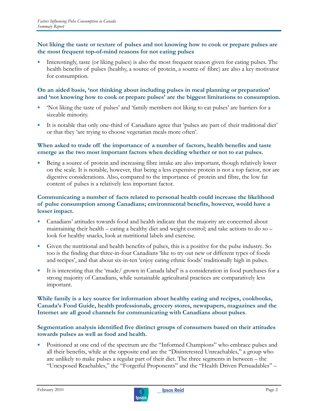#### Not liking the taste or texture of pulses and not knowing how to cook or prepare pulses are the most frequent top-of-mind reasons for not eating pulses

• Interestingly, taste (or liking pulses) is also the most frequent reason given for eating pulses. The health benefits of pulses (healthy, a source of protein, a source of fibre) are also a key motivator for consumption.

#### On an aided basis, 'not thinking about including pulses in meal planning or preparation' and 'not knowing how to cook or prepare pulses' are the biggest limitations to consumption.

- 'Not liking the taste of pulses' and 'family members not liking to eat pulses' are barriers for a sizeable minority.
- It is notable that only one-third of Canadians agree that 'pulses are part of their traditional diet' or that they 'are trying to choose vegetarian meals more often'.

#### When asked to trade off the importance of a number of factors, health benefits and taste emerge as the two most important factors when deciding whether or not to eat pulses.

Being a source of protein and increasing fibre intake are also important, though relatively lower on the scale. It is notable, however, that being a less expensive protein is not a top factor, nor are digestive considerations. Also, compared to the importance of protein and fibre, the low fat content of pulses is a relatively less important factor.

#### Communicating a number of facts related to personal health could increase the likelihood of pulse consumption among Canadians; environmental benefits, however, would have a lesser impact.

- Canadians' attitudes towards food and health indicate that the majority are concerned about maintaining their health – eating a healthy diet and weight control; and take actions to do so – look for healthy snacks, look at nutritional labels and exercise.
- Given the nutritional and health benefits of pulses, this is a positive for the pulse industry. So too is the finding that three-in-four Canadians 'like to try out new or different types of foods and recipes', and that about six-in-ten 'enjoy eating ethnic foods' traditionally high in pulses.
- It is interesting that the 'made/ grown in Canada label' is a consideration in food purchases for a strong majority of Canadians, while sustainable agricultural practices are comparatively less important.

#### While family is a key source for information about healthy eating and recipes, cookbooks, Canada's Food Guide, health professionals, grocery stores, newspapers, magazines and the Internet are all good channels for communicating with Canadians about pulses.

#### Segmentation analysis identified five distinct groups of consumers based on their attitudes towards pulses as well as food and health.

• Positioned at one end of the spectrum are the "Informed Champions" who embrace pulses and all their benefits, while at the opposite end are the "Disinterested Unreachables," a group who are unlikely to make pulses a regular part of their diet. The three segments in between – the "Unexposed Reachables," the "Forgetful Proponents" and the "Health Driven Persuadables" –

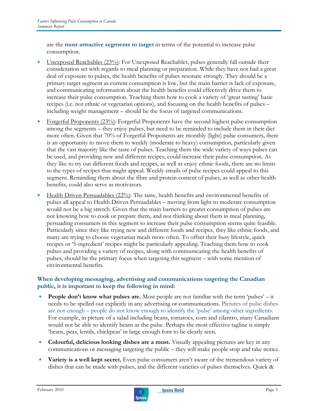are the most attractive segments to target in terms of the potential to increase pulse consumption.

- Unexposed Reachables (23%): For Unexposed Reachables, pulses generally fall outside their consideration set with regards to meal planning or preparation. While they have not had a great deal of exposure to pulses, the health benefits of pulses resonate strongly. They should be a primary target segment as current consumption is low, but the main barrier is lack of exposure, and communicating information about the health benefits could effectively drive them to increase their pulse consumption. Teaching them how to cook a variety of 'great tasting' basic recipes (i.e. not ethnic or vegetarian options), and focusing on the health benefits of pulses – including weight management – should be the focus of targeted communications.
- Forgetful Proponents (23%): Forgetful Proponents have the second highest pulse consumption among the segments – they enjoy pulses, but need to be reminded to include them in their diet more often. Given that 70% of Forgetful Proponents are monthly (light) pulse consumers, there is an opportunity to move them to weekly (moderate to heavy) consumption, particularly given that the vast majority like the taste of pulses. Teaching them the wide variety of ways pulses can be used, and providing new and different recipes, could increase their pulse consumption. As they like to try out different foods and recipes, as well as enjoy ethnic foods, there are no limits to the types of recipes that might appeal. Weekly emails of pulse recipes could appeal to this segment. Reminding them about the fibre and protein content of pulses, as well as other health benefits, could also serve as motivators.
- Health Driven Persuadables (22%): The taste, health benefits and environmental benefits of pulses all appeal to Health Driven Persuadables – moving from light to moderate consumption would not be a big stretch. Given that the main barriers to greater consumption of pulses are not knowing how to cook or prepare them, and not thinking about them in meal planning, persuading consumers in this segment to increase their pulse consumption seems quite feasible. Particularly since they like trying new and different foods and recipes, they like ethnic foods, and many are trying to choose vegetarian meals more often. To offset their busy lifestyle, quick recipes or '5-ingredient' recipes might be particularly appealing. Teaching them how to cook pulses and providing a variety of recipes, along with communicating the health benefits of pulses, should be the primary focus when targeting this segment – with some mention of environmental benefits.

#### When developing messaging, advertising and communications targeting the Canadian public, it is important to keep the following in mind:

- **People don't know what pulses are.** Most people are not familiar with the term 'pulses' it needs to be spelled out explicitly in any advertising or communications. Pictures of pulse dishes are not enough – people do not know enough to identify the 'pulse' among other ingredients. For example, in picture of a salad including beans, tomatoes, corn and cilantro, many Canadians would not be able to identify beans as the pulse. Perhaps the most effective tagline is simply 'beans, peas, lentils, chickpeas' in large enough font to be clearly seen.
- Colourful, delicious looking dishes are a must. Visually appealing pictures are key in any communications or messaging targeting the public – they will make people stop and take notice.
- Variety is a well kept secret. Even pulse consumers aren't aware of the tremendous variety of dishes that can be made with pulses, and the different varieties of pulses themselves. Quick &

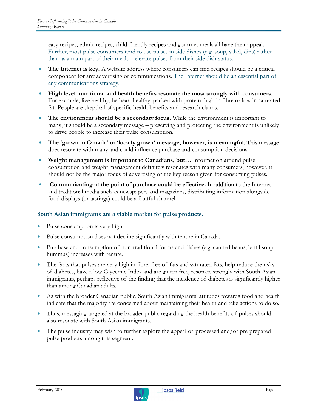easy recipes, ethnic recipes, child-friendly recipes and gourmet meals all have their appeal. Further, most pulse consumers tend to use pulses in side dishes (e.g. soup, salad, dips) rather than as a main part of their meals – elevate pulses from their side dish status.

- The Internet is key. A website address where consumers can find recipes should be a critical component for any advertising or communications. The Internet should be an essential part of any communications strategy.
- High level nutritional and health benefits resonate the most strongly with consumers. For example, live healthy, be heart healthy, packed with protein, high in fibre or low in saturated fat. People are skeptical of specific health benefits and research claims.
- The environment should be a secondary focus. While the environment is important to many, it should be a secondary message – preserving and protecting the environment is unlikely to drive people to increase their pulse consumption.
- The 'grown in Canada' or 'locally grown' message, however, is meaningful. This message does resonate with many and could influence purchase and consumption decisions.
- Weight management is important to Canadians, but... Information around pulse consumption and weight management definitely resonates with many consumers, however, it should not be the major focus of advertising or the key reason given for consuming pulses.
- Communicating at the point of purchase could be effective. In addition to the Internet and traditional media such as newspapers and magazines, distributing information alongside food displays (or tastings) could be a fruitful channel.

#### South Asian immigrants are a viable market for pulse products.

- Pulse consumption is very high.
- Pulse consumption does not decline significantly with tenure in Canada.
- Purchase and consumption of non-traditional forms and dishes (e.g. canned beans, lentil soup, hummus) increases with tenure.
- The facts that pulses are very high in fibre, free of fats and saturated fats, help reduce the risks of diabetes, have a low Glycemic Index and are gluten free, resonate strongly with South Asian immigrants, perhaps reflective of the finding that the incidence of diabetes is significantly higher than among Canadian adults.
- As with the broader Canadian public, South Asian immigrants' attitudes towards food and health indicate that the majority are concerned about maintaining their health and take actions to do so.
- Thus, messaging targeted at the broader public regarding the health benefits of pulses should also resonate with South Asian immigrants.
- The pulse industry may wish to further explore the appeal of processed and/or pre-prepared pulse products among this segment.

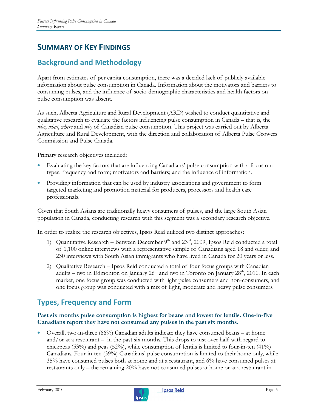# SUMMARY OF KEY FINDINGS

# Background and Methodology

Apart from estimates of per capita consumption, there was a decided lack of publicly available information about pulse consumption in Canada. Information about the motivators and barriers to consuming pulses, and the influence of socio-demographic characteristics and health factors on pulse consumption was absent.

As such, Alberta Agriculture and Rural Development (ARD) wished to conduct quantitative and qualitative research to evaluate the factors influencing pulse consumption in Canada – that is, the who, what, where and why of Canadian pulse consumption. This project was carried out by Alberta Agriculture and Rural Development, with the direction and collaboration of Alberta Pulse Growers Commission and Pulse Canada.

Primary research objectives included:

- Evaluating the key factors that are influencing Canadians' pulse consumption with a focus on: types, frequency and form; motivators and barriers; and the influence of information.
- Providing information that can be used by industry associations and government to form targeted marketing and promotion material for producers, processors and health care professionals.

Given that South Asians are traditionally heavy consumers of pulses, and the large South Asian population in Canada, conducting research with this segment was a secondary research objective.

In order to realize the research objectives, Ipsos Reid utilized two distinct approaches:

- 1) Quantitative Research Between December  $9<sup>th</sup>$  and  $23<sup>rd</sup>$ , 2009, Ipsos Reid conducted a total of 1,100 online interviews with a representative sample of Canadians aged 18 and older, and 230 interviews with South Asian immigrants who have lived in Canada for 20 years or less.
- 2) Qualitative Research Ipsos Reid conducted a total of four focus groups with Canadian adults – two in Edmonton on January  $26<sup>th</sup>$  and two in Toronto on January  $28<sup>th</sup>$ , 2010. In each market, one focus group was conducted with light pulse consumers and non-consumers, and one focus group was conducted with a mix of light, moderate and heavy pulse consumers.

### Types, Frequency and Form

#### Past six months pulse consumption is highest for beans and lowest for lentils. One-in-five Canadians report they have not consumed any pulses in the past six months.

• Overall, two-in-three (66%) Canadian adults indicate they have consumed beans – at home and/or at a restaurant – in the past six months. This drops to just over half with regard to chickpeas (53%) and peas (52%), while consumption of lentils is limited to four-in-ten (41%) Canadians. Four-in-ten (39%) Canadians' pulse consumption is limited to their home only, while 35% have consumed pulses both at home and at a restaurant, and 6% have consumed pulses at restaurants only – the remaining 20% have not consumed pulses at home or at a restaurant in

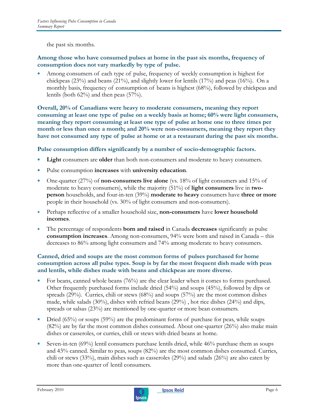the past six months.

#### Among those who have consumed pulses at home in the past six months, frequency of consumption does not vary markedly by type of pulse.

Among consumers of each type of pulse, frequency of weekly consumption is highest for chickpeas (23%) and beans (21%), and slightly lower for lentils (17%) and peas (16%). On a monthly basis, frequency of consumption of beans is highest (68%), followed by chickpeas and lentils (both  $62\%$ ) and then peas  $(57\%)$ .

Overall, 20% of Canadians were heavy to moderate consumers, meaning they report consuming at least one type of pulse on a weekly basis at home; 60% were light consumers, meaning they report consuming at least one type of pulse at home one to three times per month or less than once a month; and 20% were non-consumers, meaning they report they have not consumed any type of pulse at home or at a restaurant during the past six months.

#### Pulse consumption differs significantly by a number of socio-demographic factors.

- Light consumers are older than both non-consumers and moderate to heavy consumers.
- Pulse consumption increases with university education.
- One-quarter (27%) of non-consumers live alone (vs. 18% of light consumers and 15% of moderate to heavy consumers), while the majority  $(51\%)$  of **light consumers** live in twoperson households, and four-in-ten (39%) moderate to heavy consumers have three or more people in their household (vs. 30% of light consumers and non-consumers).
- Perhaps reflective of a smaller household size, **non-consumers** have **lower household** incomes.
- The percentage of respondents **born and raised** in Canada **decreases** significantly as pulse consumption increases. Among non-consumers, 94% were born and raised in Canada – this decreases to 86% among light consumers and 74% among moderate to heavy consumers.

#### Canned, dried and soups are the most common forms of pulses purchased for home consumption across all pulse types. Soup is by far the most frequent dish made with peas and lentils, while dishes made with beans and chickpeas are more diverse.

- For beans, canned whole beans (76%) are the clear leader when it comes to forms purchased. Other frequently purchased forms include dried (54%) and soups (45%), followed by dips or spreads (29%). Curries, chili or stews (68%) and soups (57%) are the most common dishes made, while salads (30%), dishes with refried beans (29%) , hot rice dishes (24%) and dips, spreads or salsas (23%) are mentioned by one-quarter or more bean consumers.
- Dried (65%) or soups (59%) are the predominant forms of purchase for peas, while soups (82%) are by far the most common dishes consumed. About one-quarter (26%) also make main dishes or casseroles, or curries, chili or stews with dried beans at home.
- Seven-in-ten (69%) lentil consumers purchase lentils dried, while 46% purchase them as soups and 43% canned. Similar to peas, soups (82%) are the most common dishes consumed. Curries, chili or stews (33%), main dishes such as casseroles (29%) and salads (26%) are also eaten by more than one-quarter of lentil consumers.

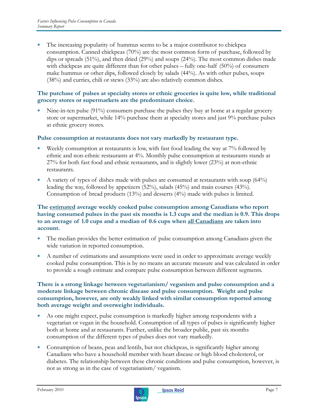The increasing popularity of hummus seems to be a major contributor to chickpea consumption. Canned chickpeas (70%) are the most common form of purchase, followed by dips or spreads (51%), and then dried (29%) and soups (24%). The most common dishes made with chickpeas are quite different than for other pulses – fully one-half (50%) of consumers make hummus or other dips, followed closely by salads (44%). As with other pulses, soups (38%) and curries, chili or stews (33%) are also relatively common dishes.

#### The purchase of pulses at specialty stores or ethnic groceries is quite low, while traditional grocery stores or supermarkets are the predominant choice.

• Nine-in-ten pulse (91%) consumers purchase the pulses they buy at home at a regular grocery store or supermarket, while 14% purchase them at specialty stores and just 9% purchase pulses at ethnic grocery stores.

#### Pulse consumption at restaurants does not vary markedly by restaurant type.

- Weekly consumption at restaurants is low, with fast food leading the way at 7% followed by ethnic and non-ethnic restaurants at 4%. Monthly pulse consumption at restaurants stands at 27% for both fast food and ethnic restaurants, and is slightly lower (23%) at non-ethnic restaurants.
- A variety of types of dishes made with pulses are consumed at restaurants with soup (64%) leading the way, followed by appetizers (52%), salads (45%) and main courses (43%). Consumption of bread products (13%) and desserts (4%) made with pulses is limited.

#### The estimated average weekly cooked pulse consumption among Canadians who report having consumed pulses in the past six months is 1.3 cups and the median is 0.9. This drops to an average of 1.0 cups and a median of 0.6 cups when all Canadians are taken into account.

- The median provides the better estimation of pulse consumption among Canadians given the wide variation in reported consumption.
- A number of estimations and assumptions were used in order to approximate average weekly cooked pulse consumption. This is by no means an accurate measure and was calculated in order to provide a rough estimate and compare pulse consumption between different segments.

#### There is a strong linkage between vegetarianism/ veganism and pulse consumption and a moderate linkage between chronic disease and pulse consumption. Weight and pulse consumption, however, are only weakly linked with similar consumption reported among both average weight and overweight individuals.

- As one might expect, pulse consumption is markedly higher among respondents with a vegetarian or vegan in the household. Consumption of all types of pulses is significantly higher both at home and at restaurants. Further, unlike the broader public, past six months consumption of the different types of pulses does not vary markedly.
- Consumption of beans, peas and lentils, but not chickpeas, is significantly higher among Canadians who have a household member with heart disease or high blood cholesterol, or diabetes. The relationship between these chronic conditions and pulse consumption, however, is not as strong as in the case of vegetarianism/ veganism.

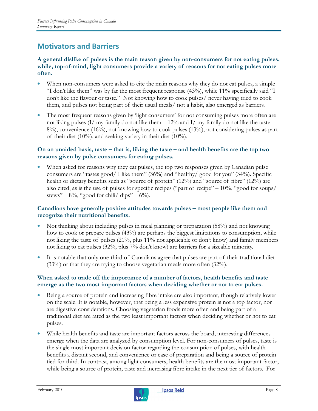### Motivators and Barriers

#### A general dislike of pulses is the main reason given by non-consumers for not eating pulses, while, top-of-mind, light consumers provide a variety of reasons for not eating pulses more often.

- When non-consumers were asked to cite the main reasons why they do not eat pulses, a simple "I don't like them" was by far the most frequent response (43%), while 11% specifically said "I don't like the flavour or taste." Not knowing how to cook pulses/ never having tried to cook them, and pulses not being part of their usual meals/ not a habit, also emerged as barriers.
- The most frequent reasons given by 'light consumers' for not consuming pulses more often are not liking pulses  $(I/mv)$  family do not like them  $-12%$  and  $I/mv$  family do not like the taste – 8%), convenience (16%), not knowing how to cook pulses (13%), not considering pulses as part of their diet  $(10\%)$ , and seeking variety in their diet  $(10\%)$ .

#### On an unaided basis, taste – that is, liking the taste – and health benefits are the top two reasons given by pulse consumers for eating pulses.

When asked for reasons why they eat pulses, the top two responses given by Canadian pulse consumers are "tastes good/ I like them" (36%) and "healthy/ good for you" (34%). Specific health or dietary benefits such as "source of protein" (12%) and "source of fibre" (12%) are also cited, as is the use of pulses for specific recipes ("part of recipe"  $-10\%$ , "good for soups/ stews" –  $8\%$ , "good for chili/ dips" –  $6\%$ ).

#### Canadians have generally positive attitudes towards pulses – most people like them and recognize their nutritional benefits.

- Not thinking about including pulses in meal planning or preparation (58%) and not knowing how to cook or prepare pulses (43%) are perhaps the biggest limitations to consumption, while not liking the taste of pulses (21%, plus 11% not applicable or don't know) and family members not liking to eat pulses (32%, plus 7% don't know) are barriers for a sizeable minority.
- It is notable that only one-third of Canadians agree that pulses are part of their traditional diet  $(33%)$  or that they are trying to choose vegetarian meals more often  $(32%)$ .

#### When asked to trade off the importance of a number of factors, health benefits and taste emerge as the two most important factors when deciding whether or not to eat pulses.

- Being a source of protein and increasing fibre intake are also important, though relatively lower on the scale. It is notable, however, that being a less expensive protein is not a top factor, nor are digestive considerations. Choosing vegetarian foods more often and being part of a traditional diet are rated as the two least important factors when deciding whether or not to eat pulses.
- While health benefits and taste are important factors across the board, interesting differences emerge when the data are analyzed by consumption level. For non-consumers of pulses, taste is the single most important decision factor regarding the consumption of pulses, with health benefits a distant second, and convenience or ease of preparation and being a source of protein tied for third. In contrast, among light consumers, health benefits are the most important factor, while being a source of protein, taste and increasing fibre intake in the next tier of factors. For

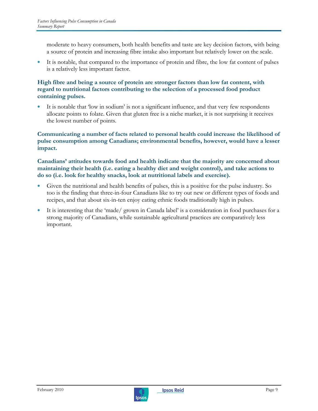moderate to heavy consumers, both health benefits and taste are key decision factors, with being a source of protein and increasing fibre intake also important but relatively lower on the scale.

It is notable, that compared to the importance of protein and fibre, the low fat content of pulses is a relatively less important factor.

#### High fibre and being a source of protein are stronger factors than low fat content, with regard to nutritional factors contributing to the selection of a processed food product containing pulses.

It is notable that 'low in sodium' is not a significant influence, and that very few respondents allocate points to folate. Given that gluten free is a niche market, it is not surprising it receives the lowest number of points.

Communicating a number of facts related to personal health could increase the likelihood of pulse consumption among Canadians; environmental benefits, however, would have a lesser impact.

Canadians' attitudes towards food and health indicate that the majority are concerned about maintaining their health (i.e. eating a healthy diet and weight control), and take actions to do so (i.e. look for healthy snacks, look at nutritional labels and exercise).

- Given the nutritional and health benefits of pulses, this is a positive for the pulse industry. So too is the finding that three-in-four Canadians like to try out new or different types of foods and recipes, and that about six-in-ten enjoy eating ethnic foods traditionally high in pulses.
- It is interesting that the 'made/ grown in Canada label' is a consideration in food purchases for a strong majority of Canadians, while sustainable agricultural practices are comparatively less important.

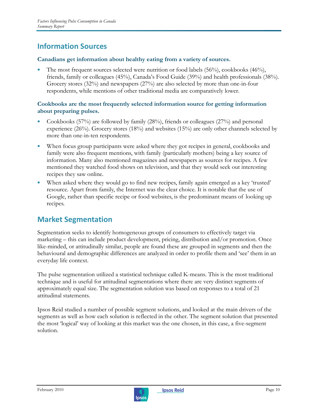### Information Sources

#### Canadians get information about healthy eating from a variety of sources.

The most frequent sources selected were nutrition or food labels  $(56\%)$ , cookbooks  $(46\%)$ , friends, family or colleagues (45%), Canada's Food Guide (39%) and health professionals (38%). Grocery stores (32%) and newspapers (27%) are also selected by more than one-in-four respondents, while mentions of other traditional media are comparatively lower.

#### Cookbooks are the most frequently selected information source for getting information about preparing pulses.

- Cookbooks (57%) are followed by family (28%), friends or colleagues (27%) and personal experience  $(26%)$ . Grocery stores  $(18%)$  and websites  $(15%)$  are only other channels selected by more than one-in-ten respondents.
- When focus group participants were asked where they got recipes in general, cookbooks and family were also frequent mentions, with family (particularly mothers) being a key source of information. Many also mentioned magazines and newspapers as sources for recipes. A few mentioned they watched food shows on television, and that they would seek out interesting recipes they saw online.
- When asked where they would go to find new recipes, family again emerged as a key 'trusted' resource. Apart from family, the Internet was the clear choice. It is notable that the use of Google, rather than specific recipe or food websites, is the predominant means of looking up recipes.

### Market Segmentation

Segmentation seeks to identify homogeneous groups of consumers to effectively target via marketing – this can include product development, pricing, distribution and/or promotion. Once like-minded, or attitudinally similar, people are found these are grouped in segments and then the behavioural and demographic differences are analyzed in order to profile them and 'see' them in an everyday life context.

The pulse segmentation utilized a statistical technique called K-means. This is the most traditional technique and is useful for attitudinal segmentations where there are very distinct segments of approximately equal size. The segmentation solution was based on responses to a total of 21 attitudinal statements.

Ipsos Reid studied a number of possible segment solutions, and looked at the main drivers of the segments as well as how each solution is reflected in the other. The segment solution that presented the most 'logical' way of looking at this market was the one chosen, in this case, a five-segment solution.

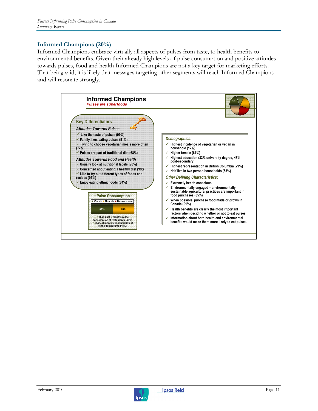#### Informed Champions (20%)

Informed Champions embrace virtually all aspects of pulses from taste, to health benefits to environmental benefits. Given their already high levels of pulse consumption and positive attitudes towards pulses, food and health Informed Champions are not a key target for marketing efforts. That being said, it is likely that messages targeting other segments will reach Informed Champions and will resonate strongly.



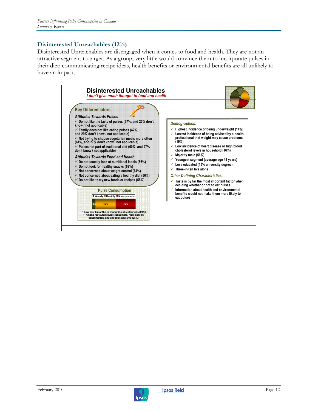#### Disinterested Unreachables (12%)

Disinterested Unreachables are disengaged when it comes to food and health. They are not an attractive segment to target. As a group, very little would convince them to incorporate pulses in their diet; communicating recipe ideas, health benefits or environmental benefits are all unlikely to have an impact.



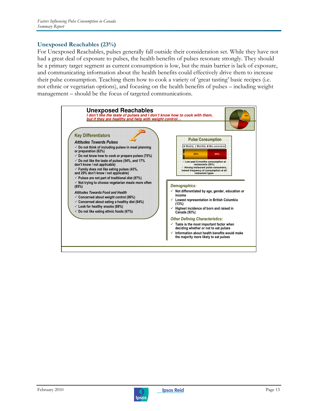#### Unexposed Reachables (23%)

For Unexposed Reachables, pulses generally fall outside their consideration set. While they have not had a great deal of exposure to pulses, the health benefits of pulses resonate strongly. They should be a primary target segment as current consumption is low, but the main barrier is lack of exposure, and communicating information about the health benefits could effectively drive them to increase their pulse consumption. Teaching them how to cook a variety of 'great tasting' basic recipes (i.e. not ethnic or vegetarian options), and focusing on the health benefits of pulses – including weight management – should be the focus of targeted communications.



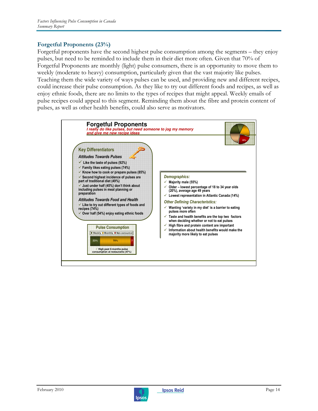#### Forgetful Proponents (23%)

Forgetful proponents have the second highest pulse consumption among the segments – they enjoy pulses, but need to be reminded to include them in their diet more often. Given that 70% of Forgetful Proponents are monthly (light) pulse consumers, there is an opportunity to move them to weekly (moderate to heavy) consumption, particularly given that the vast majority like pulses. Teaching them the wide variety of ways pulses can be used, and providing new and different recipes, could increase their pulse consumption. As they like to try out different foods and recipes, as well as enjoy ethnic foods, there are no limits to the types of recipes that might appeal. Weekly emails of pulse recipes could appeal to this segment. Reminding them about the fibre and protein content of pulses, as well as other health benefits, could also serve as motivators.



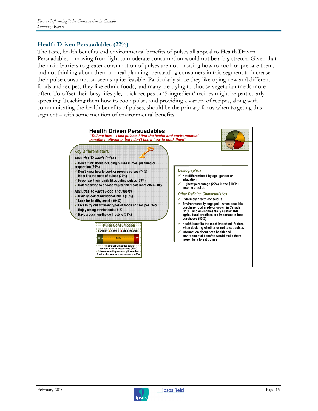#### Health Driven Persuadables (22%)

The taste, health benefits and environmental benefits of pulses all appeal to Health Driven Persuadables – moving from light to moderate consumption would not be a big stretch. Given that the main barriers to greater consumption of pulses are not knowing how to cook or prepare them, and not thinking about them in meal planning, persuading consumers in this segment to increase their pulse consumption seems quite feasible. Particularly since they like trying new and different foods and recipes, they like ethnic foods, and many are trying to choose vegetarian meals more often. To offset their busy lifestyle, quick recipes or '5-ingredient' recipes might be particularly appealing. Teaching them how to cook pulses and providing a variety of recipes, along with communicating the health benefits of pulses, should be the primary focus when targeting this segment – with some mention of environmental benefits.



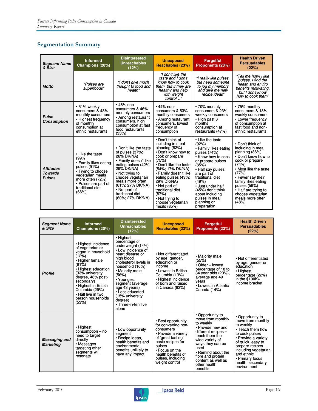#### Segmentation Summary

| <b>Segment Name</b><br>& Size                       | <b>Informed</b><br>Champions (20%)                                                                                                                                                   | <b>Disinterested</b><br><b>Unreachables</b><br>(12%)                                                                                                                                                                                                           | <b>Unexposed</b><br>Reachables (23%)                                                                                                                                                                                                                                                                                        | <b>Forgetful</b><br>Proponents (23%)                                                                                                                                                                                                                                                                 | <b>Health Driven</b><br><b>Persuadables</b><br>(22%)                                                                                                                                                                                                                               |
|-----------------------------------------------------|--------------------------------------------------------------------------------------------------------------------------------------------------------------------------------------|----------------------------------------------------------------------------------------------------------------------------------------------------------------------------------------------------------------------------------------------------------------|-----------------------------------------------------------------------------------------------------------------------------------------------------------------------------------------------------------------------------------------------------------------------------------------------------------------------------|------------------------------------------------------------------------------------------------------------------------------------------------------------------------------------------------------------------------------------------------------------------------------------------------------|------------------------------------------------------------------------------------------------------------------------------------------------------------------------------------------------------------------------------------------------------------------------------------|
| <b>Motto</b>                                        | "Pulses are<br>superfoods"                                                                                                                                                           | "I don't give much<br>thought to food and<br>health"                                                                                                                                                                                                           | "I don't like the<br>taste and I don't<br>know how to cook<br>them, but if they are<br>healthy and help<br>with weight<br>control"                                                                                                                                                                                          | "I really like pulses,<br>but need someone<br>to jog my memory<br>and give me new<br>recipe ideas"                                                                                                                                                                                                   | "Tell me how! I like<br>pulses, I find the<br>health and enviro<br>benefits motivating.<br>but I don't know<br>how to cook them"                                                                                                                                                   |
| <b>Pulse</b><br><b>Consumption</b>                  | •51% weekly<br>consumers & 48%<br>monthly consumers<br>• Highest frequency<br>of monthly<br>consumption at<br>ethnic restaurants                                                     | • 46% non-<br>consumers & 46%<br>monthly consumers<br>• Among restaurant<br>consumers, high<br>consumption at fast<br>food restaurants<br>(35%)                                                                                                                | $\cdot$ 44% non-<br>consumers & 53%<br>monthly consumers<br>• Among restaurant<br>consumers, lowest<br>frequency of<br>consumption                                                                                                                                                                                          | • 70% monthly<br>consumers & 23%<br>weekly consumers<br>• High past 6<br>months<br>consumption at<br>restaurants (47%)                                                                                                                                                                               | •75% monthly<br>consumers & 13%<br>weekly consumers<br>• Lower frequency<br>of consumption at<br>fast food and non-<br>ethnic restaurants                                                                                                                                          |
| <b>Attitudes</b><br><b>Towards</b><br><b>Pulses</b> | • Like the taste<br>(99%<br>• Family likes eating<br>pulses (91%)<br>• Trying to choose<br>vegetarian meals<br>more often (72%)<br>• Pulses are part of<br>traditional diet<br>(68%) | • Don't like the taste<br>of pulses (37%;<br>26% DK/NA)<br>• Family doesn't like<br>eating pulses (42%;<br>29% DK/NA)<br>• Not trying to<br>choose vegetarian<br>meals more often<br>(61%; 27% DK/NA)<br>• Not part of<br>traditional diet<br>(60%; 27% DK/NA) | • Don't think of<br>including in meal<br>planning (82%)<br>• Don't know how to<br>cook or prepare<br>(75%)<br>• Don't like the taste<br>(54%; 17% DK/NA)<br>• Family doesn't like<br>eating pulses (43%;<br>29% DK/NA)<br>• Not part of<br>traditional diet<br>(87%)<br>• Not trying to<br>choose vegetarian<br>meals (85%) | • Like the taste<br>(92%)<br>• Family likes eating<br>pulses (74%)<br>• Know how to cook<br>or prepare pulses<br>(85%)<br>• Half say pulses<br>are part of<br>traditional diet<br>(49%)<br>• Just under half<br>(45%) don't think<br>about including<br>pulses in meal<br>planning or<br>preparation | • Don't think of<br>including in meal<br>planning (86%)<br>• Don't know how to<br>cook or prepare<br>(74%)<br>• Most like the taste<br>(77%)<br>• Fewer say their<br>family likes eating<br>pulses (59%)<br>• Half are trying to<br>choose vegetarian<br>meals more often<br>(48%) |

| <b>Segment Name</b><br>& Size     | <b>Informed</b><br>Champions (20%)                                                                                                                                                                                                                                               | <b>Disinterested</b><br><b>Unreachables</b><br>(12%)                                                                                                                                                                                                                                                                | <b>Unexposed</b><br>Reachables (23%)                                                                                                                                                                              | <b>Forgetful</b><br>Proponents (23%)                                                                                                                                                                                                                         | <b>Health Driven</b><br><b>Persuadables</b><br>(22%)                                                                                                                                                                                                 |
|-----------------------------------|----------------------------------------------------------------------------------------------------------------------------------------------------------------------------------------------------------------------------------------------------------------------------------|---------------------------------------------------------------------------------------------------------------------------------------------------------------------------------------------------------------------------------------------------------------------------------------------------------------------|-------------------------------------------------------------------------------------------------------------------------------------------------------------------------------------------------------------------|--------------------------------------------------------------------------------------------------------------------------------------------------------------------------------------------------------------------------------------------------------------|------------------------------------------------------------------------------------------------------------------------------------------------------------------------------------------------------------------------------------------------------|
| <b>Profile</b>                    | • Highest incidence<br>of vegetarian or<br>vegan in household<br>(12%)<br>• Higher female<br>$(61\%)$<br>• Highest education<br>(33% university<br>degree, 48% post-<br>secondary)<br>• Highest in British<br>Columbia (29%)<br>• Half live in two<br>person households<br>(53%) | • Highest<br>percentage of<br>underweight (14%)<br>• Low incidence of<br>heart disease or<br>high blood<br>cholesterol levels in<br>household (16%)<br>• Majority male<br>(56%)<br>• Youngest<br>segment (average<br>age 43 years)<br>• Less educated<br>(15% university<br>degree)<br>• Three-in-ten live<br>alone | • Not differentiated<br>by age, gender,<br>education or<br>income<br>• Lowest in British<br>Columbia (13%)<br>• Highest incidence<br>of born and raised<br>in Canada (93%)                                        | • Majority male<br>(55%)<br>• Older - lowest<br>percentage of 18 to<br>34 year olds (20%),<br>average age 49<br>vears<br>• Lowest in Atlantic<br>Canada (14%)                                                                                                | • Not differentiated<br>by age, gender or<br>education<br>• Highest<br>percentage (22%)<br>in the $$100K+$<br>income bracket                                                                                                                         |
| Messaging and<br><b>Marketing</b> | • Highest<br>$consumption - no$<br>need to target<br>directly<br>• Messages<br>targeting other<br>segments will<br>resonate                                                                                                                                                      | • Low opportunity<br>segment<br>• Recipe ideas,<br>health benefits and<br>environmental<br>benefits unlikely to<br>have any impact                                                                                                                                                                                  | • Best opportunity<br>for converting non-<br>consumers<br>• Provide a variety<br>of 'great tasting'<br>basic recipes for<br>pulses<br>• Focus on the<br>health benefits of<br>pulses, including<br>weight control | • Opportunity to<br>move from monthly<br>to weekly<br>• Provide new and<br>different recipes -<br>teach them the<br>wide variety of<br>ways they can be<br>used<br>• Remind about the<br>fibre and protein<br>content as well as<br>other health<br>benefits | • Opportunity to<br>move from monthly<br>to weekly<br>• Teach them how<br>to cook pulses<br>• Provide a variety<br>of quick, easy to<br>prepare recipes<br>including vegetarian<br>and ethnic<br>• Primary focus<br>health; secondary<br>environment |

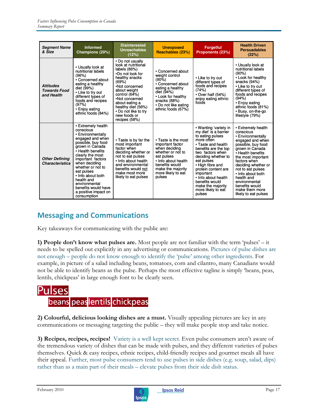| <b>Segment Name</b><br>& Size                         | <b>Informed</b><br>Champions (20%)                                                                                                                                                                                                                                                                                                                    | <b>Disinterested</b><br><b>Unreachables</b><br>(12%)                                                                                                                                                                                                                         | <b>Unexposed</b><br>Reachables (23%)                                                                                                                                                       | <b>Forgetful</b><br>Proponents (23%)                                                                                                                                                                                                                                                                                                          | <b>Health Driven</b><br><b>Persuadables</b><br>(22%)                                                                                                                                                                                                                                                                                     |
|-------------------------------------------------------|-------------------------------------------------------------------------------------------------------------------------------------------------------------------------------------------------------------------------------------------------------------------------------------------------------------------------------------------------------|------------------------------------------------------------------------------------------------------------------------------------------------------------------------------------------------------------------------------------------------------------------------------|--------------------------------------------------------------------------------------------------------------------------------------------------------------------------------------------|-----------------------------------------------------------------------------------------------------------------------------------------------------------------------------------------------------------------------------------------------------------------------------------------------------------------------------------------------|------------------------------------------------------------------------------------------------------------------------------------------------------------------------------------------------------------------------------------------------------------------------------------------------------------------------------------------|
| <b>Attitudes</b><br><b>Towards Food</b><br>and Health | • Usually look at<br>nutritional labels<br>(96%)<br>• Concerned about<br>eating a healthy<br>diet (99%)<br>• Like to try out<br>different types of<br>foods and recipes<br>(97%)<br>• Enjoy eating<br>ethnic foods (84%)                                                                                                                              | • Do not usually<br>look at nutritional<br>labels (86%)<br>.Do not look for<br>healthy snacks<br>(69%)<br>•Not concerned<br>about weight<br>control (64%)<br>•Not concerned<br>about eating a<br>healthy diet (56%)<br>• Do not like to try<br>new foods or<br>recipes (58%) | • Concerned about<br>weight control<br>$(90\%)$<br>• Concerned about<br>eating a healthy<br>diet (94%)<br>• Look for healthy<br>snacks (88%)<br>• Do not like eating<br>ethnic foods (67%) | • Like to try out<br>different types of<br>foods and recipes<br>(74%)<br>• Over half (54%)<br>enjoy eating ethnic<br>foods                                                                                                                                                                                                                    | • Usually look at<br>nutritional labels<br>(90%)<br>• Look for healthy<br>snacks (94%)<br>• Like to try out<br>different types of<br>foods and recipes<br>(94%)<br>• Enjoy eating<br>ethnic foods (81%)<br>• Busy, on-the-go<br>lifestyle (79%)                                                                                          |
| <b>Other Defining</b><br><b>Characteristics</b>       | • Extremely health<br>conscious<br>• Environmentally<br>engaged and when<br>possible, buy food<br>grown in Canada<br>• Health benefits<br>clearly the most<br>important factors<br>when deciding<br>whether or not to<br>eat pulses<br>• Info about both<br>health and<br>environmental<br>benefits would have<br>a positive impact on<br>consumption | • Taste is by far the<br>most important<br>factor when<br>deciding whether or<br>not to eat pulses<br>• Info about health<br>and environmental<br>benefits would not<br>make most more<br>likely to eat pulses                                                               | • Taste is the most<br>important factor<br>when deciding<br>whether or not to<br>eat pulses<br>• Info about health<br>benefits would<br>make the majority<br>more likely to eat<br>pulses  | • Wanting 'variety in<br>my diet' is a barrier<br>to eating pulses<br>more offen<br>• Taste and health<br>benefits are the top<br>two factors when<br>deciding whether to<br>eat pulses<br>• High fibre and<br>protein content are<br>important<br>• Info about health<br>benefits would<br>make the majority<br>more likely to eat<br>pulses | • Extremely health<br>conscious<br>• Environmentally<br>engaged and when<br>possible, buy food<br>grown in Canada<br>• Health benefits<br>the most important<br>factors when<br>deciding whether or<br>not to eat pulses<br>• Info about both<br>health and<br>environmental<br>benefits would<br>make them more<br>likely to eat pulses |

### Messaging and Communications

Key takeaways for communicating with the public are:

1) People don't know what pulses are. Most people are not familiar with the term 'pulses' – it needs to be spelled out explicitly in any advertising or communications. Pictures of pulse dishes are not enough – people do not know enough to identify the 'pulse' among other ingredients. For example, in picture of a salad including beans, tomatoes, corn and cilantro, many Canadians would not be able to identify beans as the pulse. Perhaps the most effective tagline is simply 'beans, peas, lentils, chickpeas' in large enough font to be clearly seen.

# Pulses beans peas lentils chickpeas

2) Colourful, delicious looking dishes are a must. Visually appealing pictures are key in any communications or messaging targeting the public – they will make people stop and take notice.

3) Recipes, recipes, recipes! Variety is a well kept secret. Even pulse consumers aren't aware of the tremendous variety of dishes that can be made with pulses, and they different varieties of pulses themselves. Quick & easy recipes, ethnic recipes, child-friendly recipes and gourmet meals all have their appeal. Further, most pulse consumers tend to use pulses in side dishes (e.g. soup, salad, dips) rather than as a main part of their meals – elevate pulses from their side dish status.

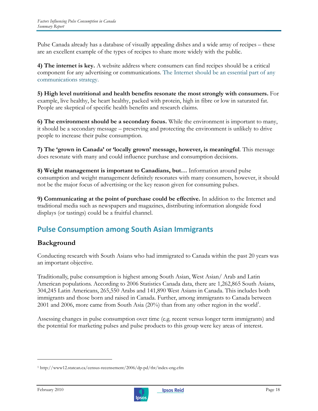Pulse Canada already has a database of visually appealing dishes and a wide array of recipes – these are an excellent example of the types of recipes to share more widely with the public.

4) The internet is key. A website address where consumers can find recipes should be a critical component for any advertising or communications. The Internet should be an essential part of any communications strategy.

5) High level nutritional and health benefits resonate the most strongly with consumers. For example, live healthy, be heart healthy, packed with protein, high in fibre or low in saturated fat. People are skeptical of specific health benefits and research claims.

6) The environment should be a secondary focus. While the environment is important to many, it should be a secondary message – preserving and protecting the environment is unlikely to drive people to increase their pulse consumption.

7) The 'grown in Canada' or 'locally grown' message, however, is meaningful. This message does resonate with many and could influence purchase and consumption decisions.

8) Weight management is important to Canadians, but… Information around pulse consumption and weight management definitely resonates with many consumers, however, it should not be the major focus of advertising or the key reason given for consuming pulses.

9) Communicating at the point of purchase could be effective. In addition to the Internet and traditional media such as newspapers and magazines, distributing information alongside food displays (or tastings) could be a fruitful channel.

### Pulse Consumption among South Asian Immigrants

### Background

Conducting research with South Asians who had immigrated to Canada within the past 20 years was an important objective.

Traditionally, pulse consumption is highest among South Asian, West Asian/ Arab and Latin American populations. According to 2006 Statistics Canada data, there are 1,262,865 South Asians, 304,245 Latin Americans, 265,550 Arabs and 141,890 West Asians in Canada. This includes both immigrants and those born and raised in Canada. Further, among immigrants to Canada between 2001 and 2006, more came from South Asia  $(20%)$  than from any other region in the world<sup>1</sup>.

Assessing changes in pulse consumption over time (e.g. recent versus longer term immigrants) and the potential for marketing pulses and pulse products to this group were key areas of interest.

-



<sup>1</sup> http://www12.statcan.ca/census-recensement/2006/dp-pd/tbt/index-eng.cfm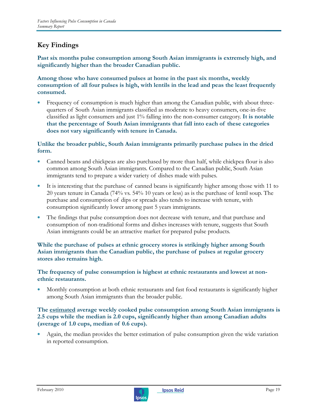### Key Findings

Past six months pulse consumption among South Asian immigrants is extremely high, and significantly higher than the broader Canadian public.

Among those who have consumed pulses at home in the past six months, weekly consumption of all four pulses is high, with lentils in the lead and peas the least frequently consumed.

Frequency of consumption is much higher than among the Canadian public, with about threequarters of South Asian immigrants classified as moderate to heavy consumers, one-in-five classified as light consumers and just 1% falling into the non-consumer category. It is notable that the percentage of South Asian immigrants that fall into each of these categories does not vary significantly with tenure in Canada.

Unlike the broader public, South Asian immigrants primarily purchase pulses in the dried form.

- Canned beans and chickpeas are also purchased by more than half, while chickpea flour is also common among South Asian immigrants. Compared to the Canadian public, South Asian immigrants tend to prepare a wider variety of dishes made with pulses.
- It is interesting that the purchase of canned beans is significantly higher among those with 11 to 20 years tenure in Canada (74% vs. 54% 10 years or less) as is the purchase of lentil soup. The purchase and consumption of dips or spreads also tends to increase with tenure, with consumption significantly lower among past 5 years immigrants.
- The findings that pulse consumption does not decrease with tenure, and that purchase and consumption of non-traditional forms and dishes increases with tenure, suggests that South Asian immigrants could be an attractive market for prepared pulse products.

#### While the purchase of pulses at ethnic grocery stores is strikingly higher among South Asian immigrants than the Canadian public, the purchase of pulses at regular grocery stores also remains high.

#### The frequency of pulse consumption is highest at ethnic restaurants and lowest at nonethnic restaurants.

• Monthly consumption at both ethnic restaurants and fast food restaurants is significantly higher among South Asian immigrants than the broader public.

#### The estimated average weekly cooked pulse consumption among South Asian immigrants is 2.5 cups while the median is 2.0 cups, significantly higher than among Canadian adults (average of 1.0 cups, median of 0.6 cups).

• Again, the median provides the better estimation of pulse consumption given the wide variation in reported consumption.